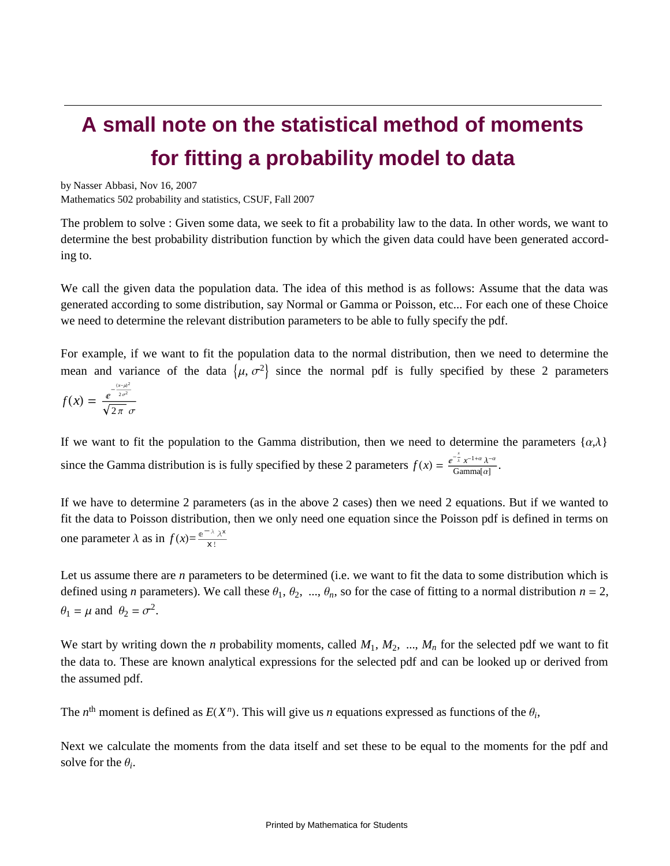# **A small note on the statistical method of moments for fitting a probability model to data**

### by Nasser Abbasi, Nov 16, 2007

Mathematics 502 probability and statistics, CSUF, Fall 2007

The problem to solve : Given some data, we seek to fit a probability law to the data. In other words, we want to determine the best probability distribution function by which the given data could have been generated according to.

We call the given data the population data. The idea of this method is as follows: Assume that the data was generated according to some distribution, say Normal or Gamma or Poisson, etc... For each one of these Choice we need to determine the relevant distribution parameters to be able to fully specify the pdf.

For example, if we want to fit the population data to the normal distribution, then we need to determine the mean and variance of the data  $\{\mu, \sigma^2\}$  since the normal pdf is fully specified by these 2 parameters

$$
f(x) = \frac{e^{-\frac{(x-\mu)^2}{2\sigma^2}}}{\sqrt{2\pi}\sigma}
$$

If we want to fit the population to the Gamma distribution, then we need to determine the parameters  $\{\alpha,\lambda\}$ since the Gamma distribution is is fully specified by these 2 parameters  $f(x) = \frac{e^{-\frac{x}{\lambda}}x^{-1+\alpha}\lambda^{-\alpha}}{\text{Gamma}(\alpha)}$ .

If we have to determine 2 parameters (as in the above 2 cases) then we need 2 equations. But if we wanted to fit the data to Poisson distribution, then we only need one equation since the Poisson pdf is defined in terms on one parameter  $\lambda$  as in  $f(x) = \frac{e^{-\lambda} \lambda^{x}}{x!}$ x!

Let us assume there are *n* parameters to be determined (i.e. we want to fit the data to some distribution which is defined using *n* parameters). We call these  $\theta_1$ ,  $\theta_2$ , ...,  $\theta_n$ , so for the case of fitting to a normal distribution  $n = 2$ ,  $\theta_1 = \mu$  and  $\theta_2 = \sigma^2$ . .

We start by writing down the *n* probability moments, called M<sub>1</sub>, M<sub>2</sub>, ..., M<sub>n</sub> for the selected pdf we want to fit the data to. These are known analytical expressions for the selected pdf and can be looked up or derived from the assumed pdf.

The  $n^{\text{th}}$  moment is defined as  $E(X^n)$ . This will give us  $n$  equations expressed as functions of the  $\theta_i$ ,

Next we calculate the moments from the data itself and set these to be equal to the moments for the pdf and solve for the  $\theta_i$ .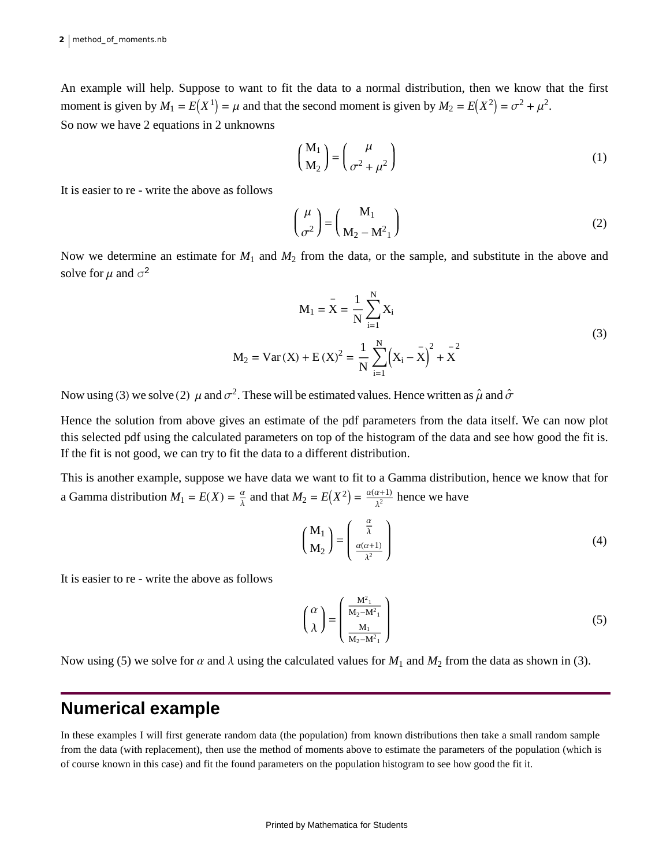An example will help. Suppose to want to fit the data to a normal distribution, then we know that the first moment is given by  $M_1 = E(X^1) = \mu$  and that the second moment is given by  $M_2 = E(X^2) = \sigma^2 + \mu^2$ . . So now we have 2 equations in 2 unknowns

$$
\begin{pmatrix} M_1 \\ M_2 \end{pmatrix} = \begin{pmatrix} \mu \\ \sigma^2 + \mu^2 \end{pmatrix}
$$
 (1)

It is easier to re - write the above as follows

$$
\left(\frac{\mu}{\sigma^2}\right) = \left(\frac{M_1}{M_2 - M^2_1}\right) \tag{2}
$$

Now we determine an estimate for *M*1 and *M*2 from the data, or the sample, and substitute in the above and solve for  $\mu$  and  $\sigma^2$ 2

$$
M_1 = \bar{X} = \frac{1}{N} \sum_{i=1}^{N} X_i
$$
  
\n
$$
M_2 = \text{Var}(X) + E(X)^2 = \frac{1}{N} \sum_{i=1}^{N} (X_i - \bar{X})^2 + \bar{X}^2
$$
\n
$$
{}^{2}
$$
\nThe example of the original line, we have written as  $\hat{A}$  and  $\hat{A}$ .

Now using (3) we solve (2)  $\,\mu$  and  $\sigma^2$ . These will be estimated values. Hence written as  $\hat\mu$  and  $\hat\sigma$ 

Hence the solution from above gives an estimate of the pdf parameters from the data itself. We can now plot this selected pdf using the calculated parameters on top of the histogram of the data and see how good the fit is. If the fit is not good, we can try to fit the data to a different distribution.

This is another example, suppose we have data we want to fit to a Gamma distribution, hence we know that for a Gamma distribution  $M_1 = E(X) = \frac{\alpha}{\lambda}$  and that  $M_2 = E(X^2)$  $\frac{\alpha}{\lambda}$  and that  $M_2 = E(X^2) = \frac{\alpha(\alpha+1)}{\lambda^2}$  hence we have

$$
\begin{pmatrix} M_1 \\ M_2 \end{pmatrix} = \begin{pmatrix} \frac{\alpha}{\lambda} \\ \frac{\alpha(\alpha+1)}{\lambda^2} \end{pmatrix}
$$
 (4)

It is easier to re - write the above as follows

$$
\left(\begin{array}{c} \alpha \\ \lambda \end{array}\right) = \left(\begin{array}{c} \frac{M^2_1}{M_2 - M^2_1} \\ \frac{M_1}{M_2 - M^2_1} \end{array}\right) \tag{5}
$$

Now using (5) we solve for  $\alpha$  and  $\lambda$  using the calculated values for  $M_1$  and  $M_2$  from the data as shown in (3).

# **Numerical example**

In these examples I will first generate random data (the population) from known distributions then take a small random sample from the data (with replacement), then use the method of moments above to estimate the parameters of the population (which is of course known in this case) and fit the found parameters on the population histogram to see how good the fit it.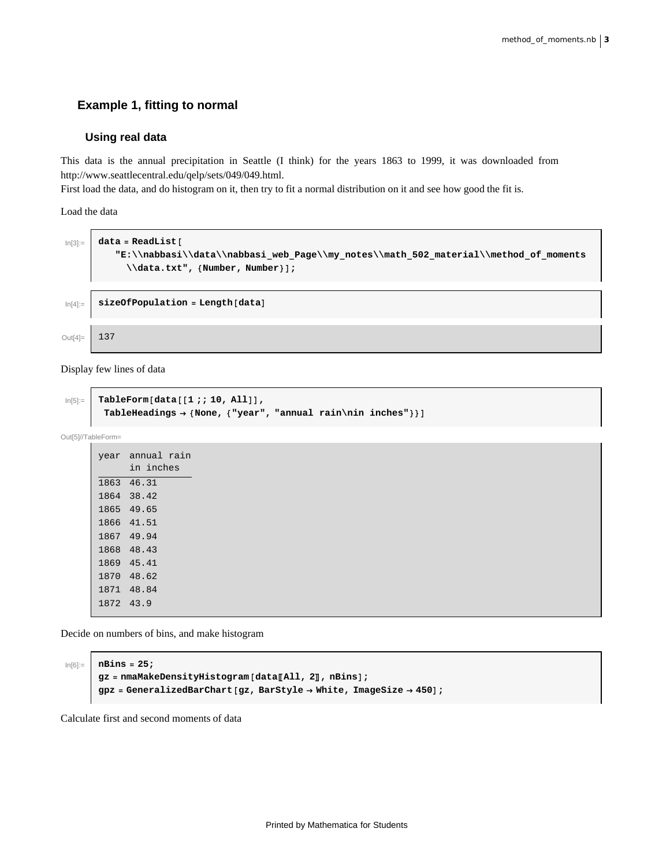## **Example 1, fitting to normal**

#### **Using real data**

This data is the annual precipitation in Seattle (I think) for the years 1863 to 1999, it was downloaded from http://www.seattlecentral.edu/qelp/sets/049/049.html.

First load the data, and do histogram on it, then try to fit a normal distribution on it and see how good the fit is.

Load the data



Display few lines of data

```
\ln[5] := TableForm [data [[1 ;; 10, All]],
       TableHeadings → {None, {"year", "annual rain\nin inches"}}]
```
Out[5]//TableForm=

|           | year annual rain |
|-----------|------------------|
|           | in inches        |
|           | 1863 46.31       |
|           | 1864 38.42       |
|           | 1865 49.65       |
|           | 1866 41.51       |
|           | 1867 49.94       |
|           | 1868 48.43       |
|           | 1869 45.41       |
|           | 1870 48.62       |
|           | 1871 48.84       |
| 1872 43.9 |                  |

Decide on numbers of bins, and make histogram

```
In[6]:= nBins = 25;
      gz = nmaMakeDensityHistogram@dataPAll, 2T, nBinsD;
      gpz = GeneralizedBarChart@gz, BarStyle ® White, ImageSize ® 450D;
```
Calculate first and second moments of data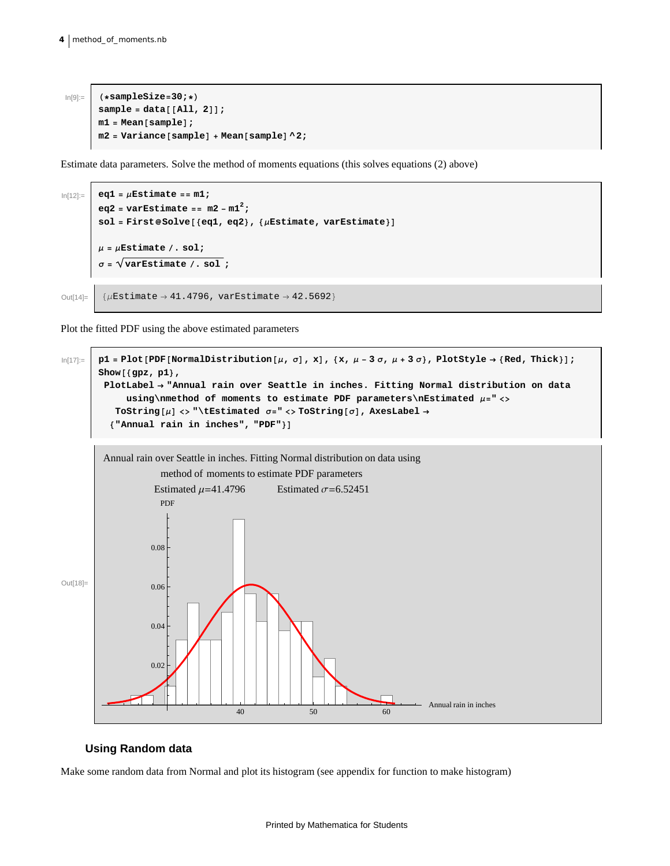```
In[9]:= H*sampleSize=30;*L
        sample = data[[All, 2]];
       m1 = Mean[sample];
       m2 = \text{Variance}[\text{sample}] + \text{Mean}[\text{sample}] \cdot 2;
```
Estimate data parameters. Solve the method of moments equations (this solves equations (2) above)

```
ln[12] := eq1 = \muEstimate == m1;
         eq2 = varEstimate == m2 - m12;
         sol = First@Solve [{eq1, eq2}, {\muEstimate, varEstimate}]
         \mu = \muEstimate \ell. sol;
         \sigma = \sqrt{\text{varEstimate}/\cdot \text{sol}};
Out[14]= \left[\right. {\muEstimate \rightarrow 41.4796, varEstimate \rightarrow 42.5692}
```
Plot the fitted PDF using the above estimated parameters

```
\ln[17]:=\int p1 = \text{Plot}[\text{PDF}[\text{NormalDistribution}[\mu, \sigma], x], \{x, \mu - 3\sigma, \mu + 3\sigma\}, \text{PlotStyle} \rightarrow \{\text{Red, Thick}\}]\text{;}Show@8gpz, p1<,
           PlotLabel ® "Annual rain over Seattle in inches. Fitting Normal distribution on data
                 using\omega of moments to estimate PDF parameters\nEstimated \mu = \omegaTOString\lbrack \mu \rbrack \leftrightarrow "\tEstimated \sigma="\leftrightarrow ToString\lbrack \sigma \rbrack, AxesLabel \rightarrow{"Annual rain in inches", "PDF"}]
```


#### **Using Random data**

Make some random data from Normal and plot its histogram (see appendix for function to make histogram)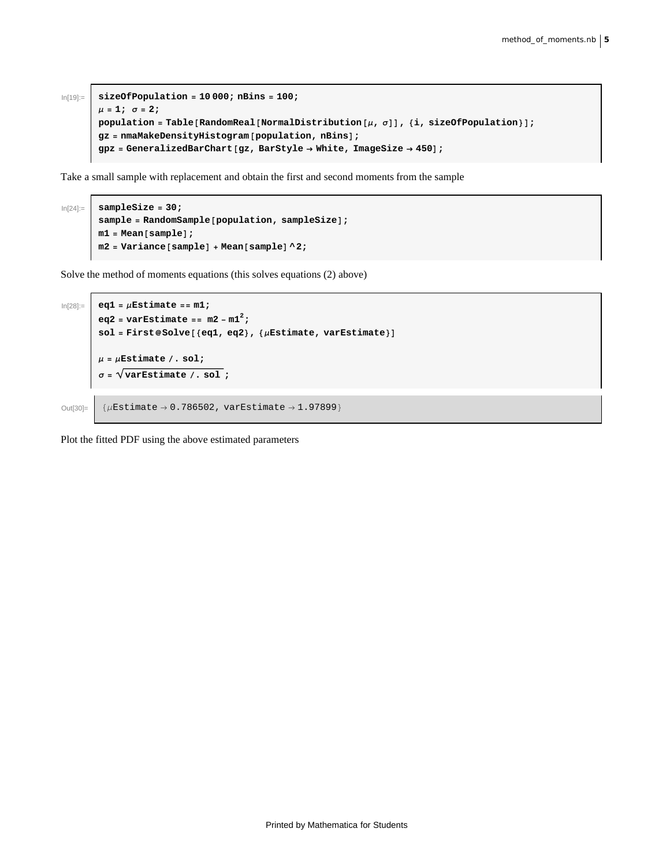```
In[19]:= sizeOfPopulation = 10 000; nBins = 100;
       μ = 1; σ = 2;population = \text{Table}[RandomReal[NormalDistribution[\mu, \sigma]], {i, \text{sizeOfPopulation}];
       gz = nmaMakeDensityHistogram@population, nBinsD;
       gpz = GeneralizedBarChart@gz, BarStyle ® White, ImageSize ® 450D;
```
Take a small sample with replacement and obtain the first and second moments from the sample

```
In[24]:= sampleSize = 30;
       sample = RandomSample[population, sampleSize];
       m1 = Mean[sample];
       m2 = Variance[sample] + Mean[sample] \,^2;
```
Solve the method of moments equations (this solves equations (2) above)

```
ln[28] := eq1 = \muEstimate == m1;
         eq2 = varEstimate == m2 - m12;
         sol = First@Solve [{eq1, eq2}, {\muEstimate, varEstimate}]
         \mu = \muEstimate \ell, sol;
          \sigma = \sqrt{\text{varEstimate}/\cdot \text{sol}}Out[30]= \left\{\mu \text{Estimate} \rightarrow 0.786502, \text{varEstimate} \rightarrow 1.97899\right\}
```
Plot the fitted PDF using the above estimated parameters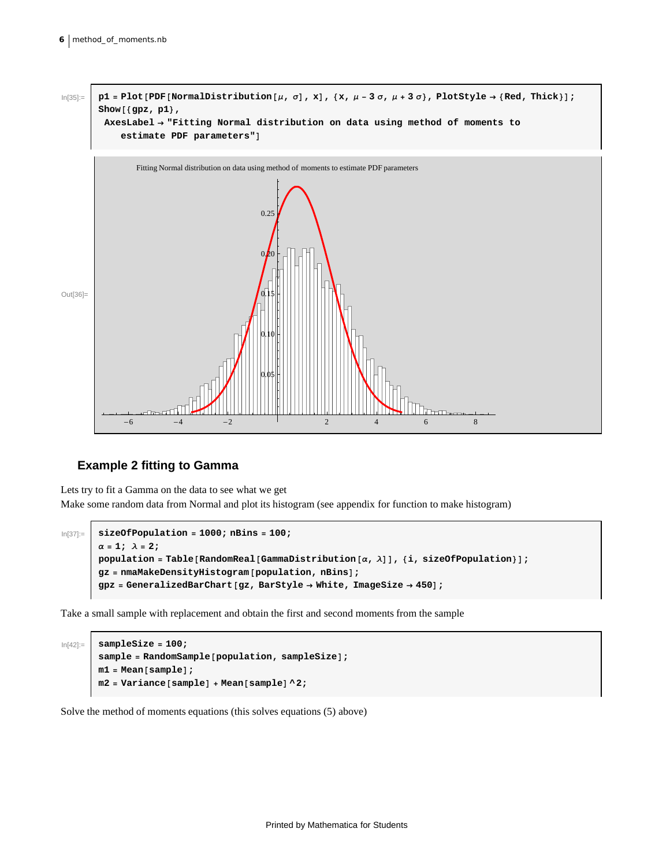

## **Example 2 fitting to Gamma**

Lets try to fit a Gamma on the data to see what we get Make some random data from Normal and plot its histogram (see appendix for function to make histogram)

```
In[37]:= sizeOfPopulation = 1000; nBins = 100; \alpha = 1; \lambda = 2;
       population = Table [RandomReal [GammaDistribution \alpha, \lambda] ], {i, sizeOfPopulation}];
       gz = nmaMakeDensityHistogram@population, nBinsD;
       gpz = GeneralizedBarChart@gz, BarStyle ® White, ImageSize ® 450D;
```
Take a small sample with replacement and obtain the first and second moments from the sample

```
In[42]:= sampleSize = 100;
         sample = RandomSample@population, sampleSizeD;
        m1 = Mean[sample];
        m2 = \text{Variance}[\text{sample}] + \text{Mean}[\text{sample}] \cdot 2;
```
Solve the method of moments equations (this solves equations (5) above)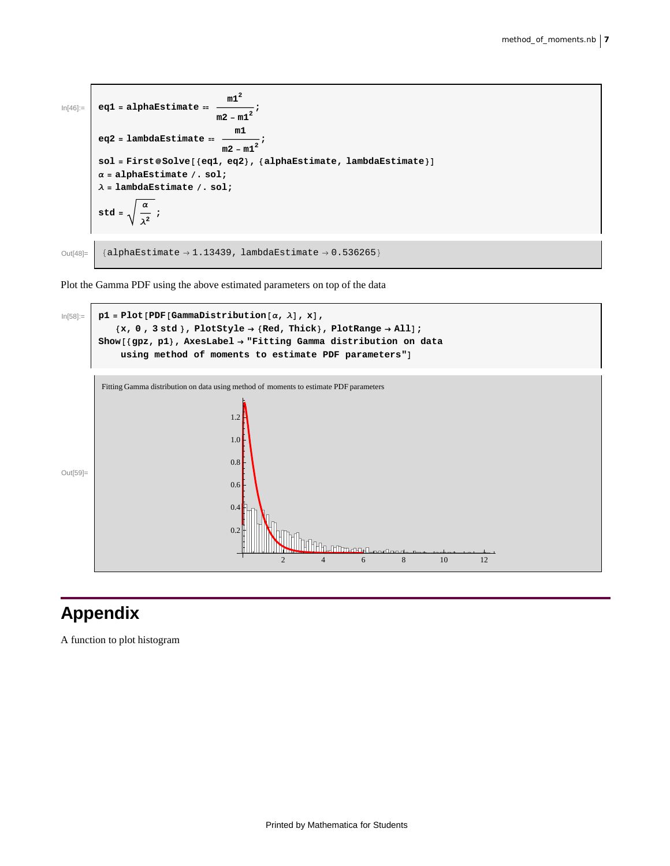

Plot the Gamma PDF using the above estimated parameters on top of the data



# **Appendix**

A function to plot histogram